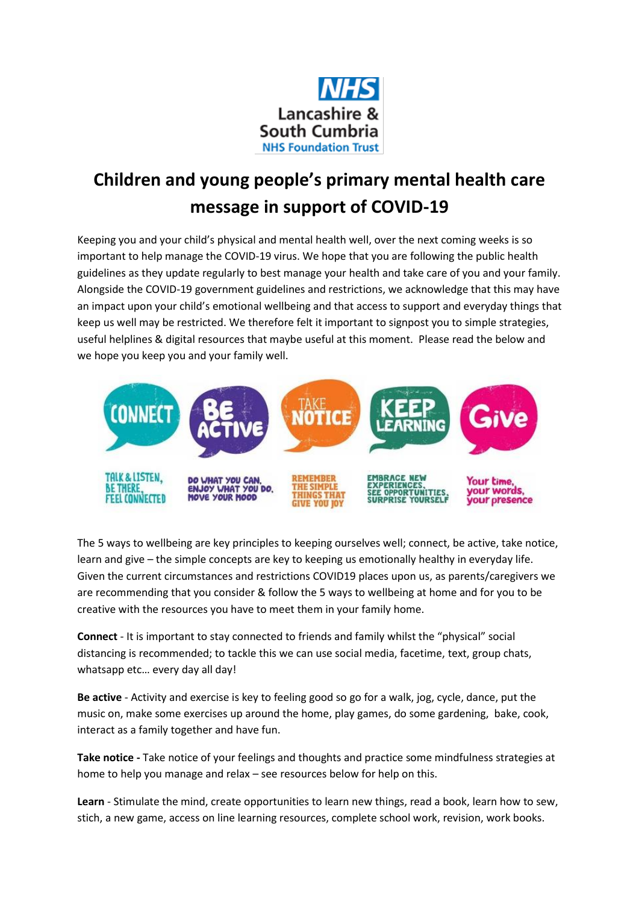

## **Children and young people's primary mental health care message in support of COVID-19**

Keeping you and your child's physical and mental health well, over the next coming weeks is so important to help manage the COVID-19 virus. We hope that you are following the public health guidelines as they update regularly to best manage your health and take care of you and your family. Alongside the COVID-19 government guidelines and restrictions, we acknowledge that this may have an impact upon your child's emotional wellbeing and that access to support and everyday things that keep us well may be restricted. We therefore felt it important to signpost you to simple strategies, useful helplines & digital resources that maybe useful at this moment. Please read the below and we hope you keep you and your family well.



The 5 ways to wellbeing are key principles to keeping ourselves well; connect, be active, take notice, learn and give – the simple concepts are key to keeping us emotionally healthy in everyday life. Given the current circumstances and restrictions COVID19 places upon us, as parents/caregivers we are recommending that you consider & follow the 5 ways to wellbeing at home and for you to be creative with the resources you have to meet them in your family home.

**Connect** - It is important to stay connected to friends and family whilst the "physical" social distancing is recommended; to tackle this we can use social media, facetime, text, group chats, whatsapp etc… every day all day!

**Be active** - Activity and exercise is key to feeling good so go for a walk, jog, cycle, dance, put the music on, make some exercises up around the home, play games, do some gardening, bake, cook, interact as a family together and have fun.

**Take notice -** Take notice of your feelings and thoughts and practice some mindfulness strategies at home to help you manage and relax – see resources below for help on this.

**Learn** - Stimulate the mind, create opportunities to learn new things, read a book, learn how to sew, stich, a new game, access on line learning resources, complete school work, revision, work books.